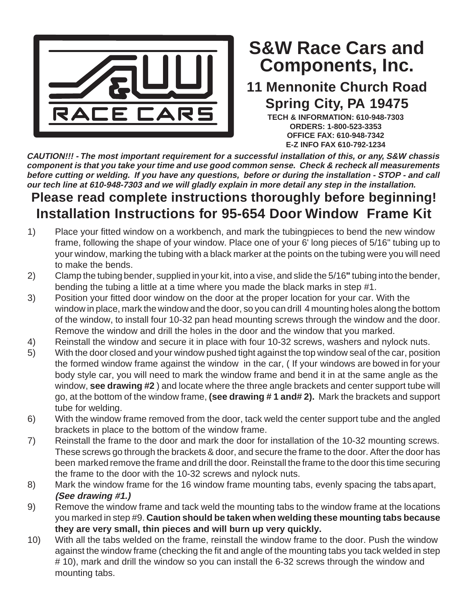

## **Components, Inc. S&W Race Cars and**

## **11 Mennonite Church Road Spring City, PA 19475**

**TECH & INFORMATION: 610-948-7303 ORDERS: 1-800-523-3353 OFFICE FAX: 610-948-7342 E-Z INFO FAX 610-792-1234**

**CAUTION!!! - The most important requirement for a successful installation of this, or any, S&W chassis component is that you take your time and use good common sense. Check & recheck all measurements before cutting or welding. If you have any questions, before or during the installation - STOP - and call our tech line at 610-948-7303 and we will gladly explain in more detail any step in the installation.**

## **Please read complete instructions thoroughly before beginning! Installation Instructions for 95-654 Door Window Frame Kit**

- 1) Place your fitted window on a workbench, and mark the tubingpieces to bend the new window frame, following the shape of your window. Place one of your 6' long pieces of 5/16" tubing up to your window, marking the tubing with a black marker at the points on the tubing were you will need to make the bends.
- 2) Clamp the tubing bender, supplied in your kit, into a vise, and slide the 5/16**"** tubing into the bender, bending the tubing a little at a time where you made the black marks in step #1.
- 3) Position your fitted door window on the door at the proper location for your car. With the window in place, mark the window and the door, so you can drill 4 mounting holes along the bottom of the window, to install four 10-32 pan head mounting screws through the window and the door. Remove the window and drill the holes in the door and the window that you marked.
- 4) Reinstall the window and secure it in place with four 10-32 screws, washers and nylock nuts.
- 5) With the door closed and your window pushed tight against the top window seal of the car, position the formed window frame against the window in the car, ( If your windows are bowed in for your body style car, you will need to mark the window frame and bend it in at the same angle as the window, **see drawing #2** ) and locate where the three angle brackets and center support tube will go, at the bottom of the window frame, **(see drawing # 1 and# 2).** Mark the brackets and support tube for welding.
- 6) With the window frame removed from the door, tack weld the center support tube and the angled brackets in place to the bottom of the window frame.
- 7) Reinstall the frame to the door and mark the door for installation of the 10-32 mounting screws. These screws go through the brackets & door, and secure the frame to the door. After the door has been marked remove the frame and drill the door. Reinstall the frame to the door this time securing the frame to the door with the 10-32 screws and nylock nuts.
- 8) Mark the window frame for the 16 window frame mounting tabs, evenly spacing the tabsapart, **(See drawing #1.)**
- 9) Remove the window frame and tack weld the mounting tabs to the window frame at the locations you marked in step #9. **Caution should be taken when welding these mounting tabs because they are very small, thin pieces and will burn up very quickly.**
- 10) With all the tabs welded on the frame, reinstall the window frame to the door. Push the window against the window frame (checking the fit and angle of the mounting tabs you tack welded in step # 10), mark and drill the window so you can install the 6-32 screws through the window and mounting tabs.